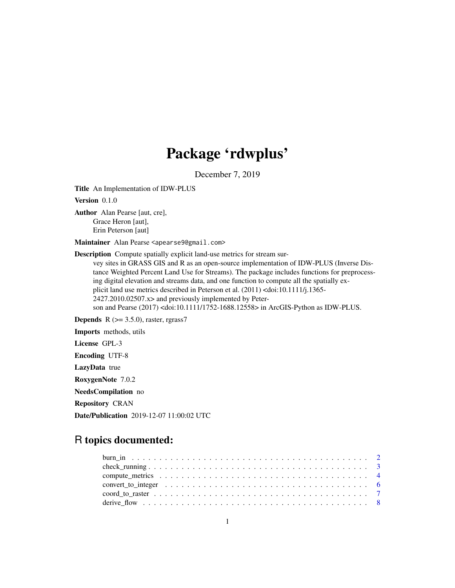# Package 'rdwplus'

December 7, 2019

Title An Implementation of IDW-PLUS

Version 0.1.0

Author Alan Pearse [aut, cre], Grace Heron [aut], Erin Peterson [aut]

Maintainer Alan Pearse <apearse9@gmail.com>

Description Compute spatially explicit land-use metrics for stream survey sites in GRASS GIS and R as an open-source implementation of IDW-PLUS (Inverse Distance Weighted Percent Land Use for Streams). The package includes functions for preprocessing digital elevation and streams data, and one function to compute all the spatially explicit land use metrics described in Peterson et al. (2011) <doi:10.1111/j.1365- 2427.2010.02507.x> and previously implemented by Peterson and Pearse (2017) <doi:10.1111/1752-1688.12558> in ArcGIS-Python as IDW-PLUS.

**Depends** R  $(>= 3.5.0)$ , raster, rgrass7

Imports methods, utils

License GPL-3

Encoding UTF-8

LazyData true

RoxygenNote 7.0.2

NeedsCompilation no

Repository CRAN

Date/Publication 2019-12-07 11:00:02 UTC

# R topics documented: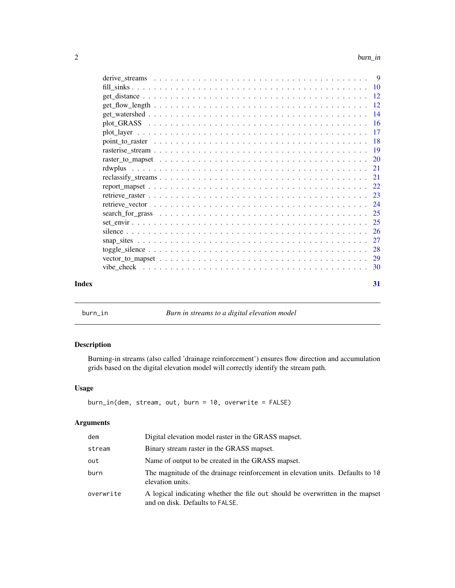<span id="page-1-0"></span>

| Index | 31 |  |
|-------|----|--|

burn\_in *Burn in streams to a digital elevation model*

# Description

Burning-in streams (also called 'drainage reinforcement') ensures flow direction and accumulation grids based on the digital elevation model will correctly identify the stream path.

# Usage

```
burn_in(dem, stream, out, burn = 10, overwrite = FALSE)
```
# Arguments

| dem       | Digital elevation model raster in the GRASS mapset.                                                              |
|-----------|------------------------------------------------------------------------------------------------------------------|
| stream    | Binary stream raster in the GRASS mapset.                                                                        |
| out       | Name of output to be created in the GRASS mapset.                                                                |
| burn      | The magnitude of the drainage reinforcement in elevation units. Defaults to 10<br>elevation units.               |
| overwrite | A logical indicating whether the file out should be overwritten in the mapset<br>and on disk. Defaults to FALSE. |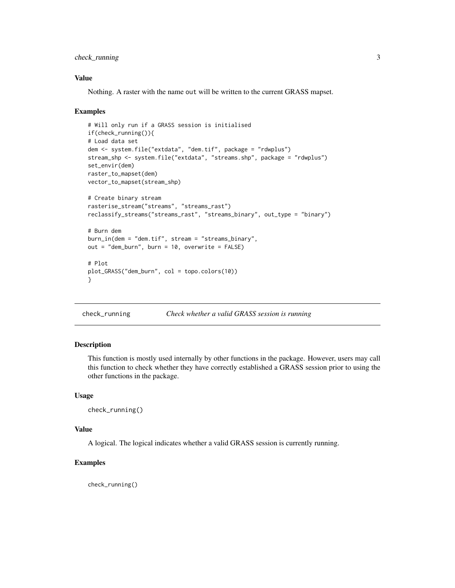# <span id="page-2-0"></span>check\_running 3

# Value

Nothing. A raster with the name out will be written to the current GRASS mapset.

#### Examples

```
# Will only run if a GRASS session is initialised
if(check_running()){
# Load data set
dem <- system.file("extdata", "dem.tif", package = "rdwplus")
stream_shp <- system.file("extdata", "streams.shp", package = "rdwplus")
set_envir(dem)
raster_to_mapset(dem)
vector_to_mapset(stream_shp)
# Create binary stream
rasterise_stream("streams", "streams_rast")
reclassify_streams("streams_rast", "streams_binary", out_type = "binary")
# Burn dem
burn_in(dem = "dem.tif", stream = "streams_binary",
out = "dem_burn", burn = 10, overwrite = FALSE)
# Plot
plot_GRASS("dem_burn", col = topo.colors(10))
}
```
check\_running *Check whether a valid GRASS session is running*

#### Description

This function is mostly used internally by other functions in the package. However, users may call this function to check whether they have correctly established a GRASS session prior to using the other functions in the package.

#### Usage

```
check_running()
```
# Value

A logical. The logical indicates whether a valid GRASS session is currently running.

# Examples

check\_running()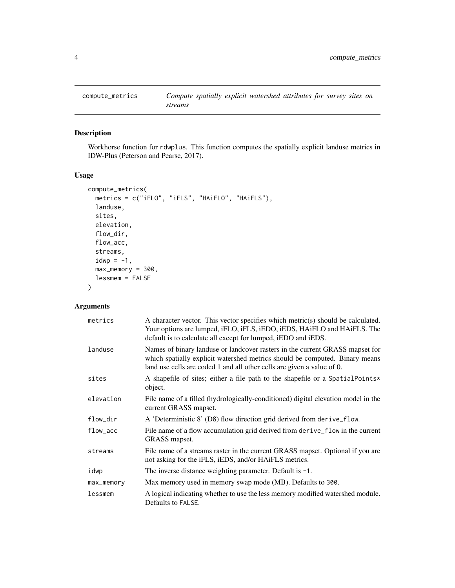<span id="page-3-0"></span>

Workhorse function for rdwplus. This function computes the spatially explicit landuse metrics in IDW-Plus (Peterson and Pearse, 2017).

# Usage

```
compute_metrics(
 metrics = c("iFLO", "iFLS", "HAiFLO", "HAiFLS"),
 landuse,
  sites,
  elevation,
  flow_dir,
  flow_acc,
  streams,
  idwp = -1,
 max_memory = 300,
  lessmem = FALSE
)
```
# Arguments

| metrics    | A character vector. This vector specifies which metric(s) should be calculated.<br>Your options are lumped, iFLO, iFLS, iEDO, iEDS, HAIFLO and HAIFLS. The<br>default is to calculate all except for lumped, iEDO and iEDS.           |
|------------|---------------------------------------------------------------------------------------------------------------------------------------------------------------------------------------------------------------------------------------|
| landuse    | Names of binary landuse or landcover rasters in the current GRASS mapset for<br>which spatially explicit watershed metrics should be computed. Binary means<br>land use cells are coded 1 and all other cells are given a value of 0. |
| sites      | A shapefile of sites; either a file path to the shapefile or a SpatialPoints*<br>object.                                                                                                                                              |
| elevation  | File name of a filled (hydrologically-conditioned) digital elevation model in the<br>current GRASS mapset.                                                                                                                            |
| flow_dir   | A 'Deterministic 8' (D8) flow direction grid derived from derive_flow.                                                                                                                                                                |
| flow_acc   | File name of a flow accumulation grid derived from derive_flow in the current<br>GRASS mapset.                                                                                                                                        |
| streams    | File name of a streams raster in the current GRASS mapset. Optional if you are<br>not asking for the iFLS, iEDS, and/or HAiFLS metrics.                                                                                               |
| idwp       | The inverse distance weighting parameter. Default is $-1$ .                                                                                                                                                                           |
| max_memory | Max memory used in memory swap mode (MB). Defaults to 300.                                                                                                                                                                            |
| lessmem    | A logical indicating whether to use the less memory modified watershed module.<br>Defaults to FALSE.                                                                                                                                  |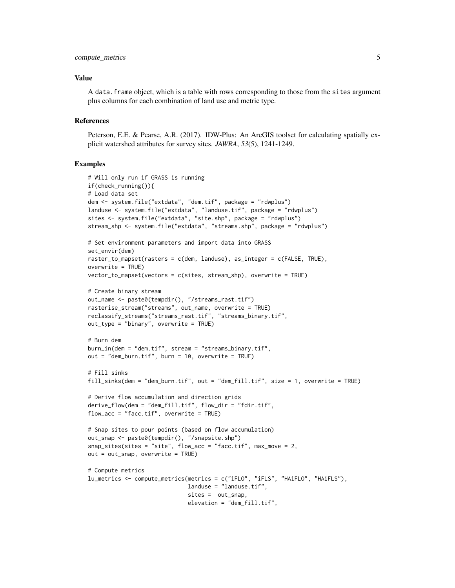# compute\_metrics 5

#### Value

A data.frame object, which is a table with rows corresponding to those from the sites argument plus columns for each combination of land use and metric type.

#### References

Peterson, E.E. & Pearse, A.R. (2017). IDW-Plus: An ArcGIS toolset for calculating spatially explicit watershed attributes for survey sites. *JAWRA*, *53*(5), 1241-1249.

```
# Will only run if GRASS is running
if(check_running()){
# Load data set
dem <- system.file("extdata", "dem.tif", package = "rdwplus")
landuse <- system.file("extdata", "landuse.tif", package = "rdwplus")
sites <- system.file("extdata", "site.shp", package = "rdwplus")
stream_shp <- system.file("extdata", "streams.shp", package = "rdwplus")
# Set environment parameters and import data into GRASS
set_envir(dem)
raster_to_mapset(rasters = c(dem, landuse), as_integer = c(FALSE, TRUE),
overwrite = TRUE)
vector_to_mapset(vectors = c(sites, stream_shp), overwrite = TRUE)
# Create binary stream
out_name <- paste0(tempdir(), "/streams_rast.tif")
rasterise_stream("streams", out_name, overwrite = TRUE)
reclassify_streams("streams_rast.tif", "streams_binary.tif",
out_type = "binary", overwrite = TRUE)
# Burn dem
burn_in(dem = "dem.tif", stream = "streams_binary.tif",
out = "dem_burn.tif", burn = 10, overwrite = TRUE)
# Fill sinks
fill_sinks(dem = "dem_burn.tif", out = "dem_fill.tif", size = 1, overwrite = TRUE)
# Derive flow accumulation and direction grids
derive_flow(dem = "dem_fill.tif", flow_dir = "fdir.tif",
flow_acc = "face.tif", overwrite = TRUE)# Snap sites to pour points (based on flow accumulation)
out_snap <- paste0(tempdir(), "/snapsite.shp")
snap_sites(sites = "site", flow_{acc} = "facc.tif", max_{av} move = 2,
out = out_snap, overwrite = TRUE)
# Compute metrics
lu_metrics <- compute_metrics(metrics = c("iFLO", "iFLS", "HAiFLO", "HAiFLS"),
                              landuse = "landuse.tif",
                              sites = out_snap,
                              elevation = "dem_fill.tif",
```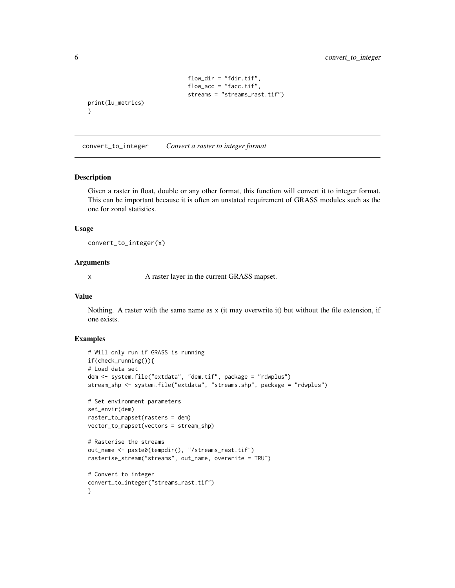```
flow_dir = "fdir.tif",
                               flow_acc = "facc.tif",
                               streams = "streams_rast.tif")
print(lu_metrics)
```
convert\_to\_integer *Convert a raster to integer format*

#### Description

}

Given a raster in float, double or any other format, this function will convert it to integer format. This can be important because it is often an unstated requirement of GRASS modules such as the one for zonal statistics.

#### Usage

convert\_to\_integer(x)

#### Arguments

x A raster layer in the current GRASS mapset.

#### Value

Nothing. A raster with the same name as  $x$  (it may overwrite it) but without the file extension, if one exists.

```
# Will only run if GRASS is running
if(check_running()){
# Load data set
dem <- system.file("extdata", "dem.tif", package = "rdwplus")
stream_shp <- system.file("extdata", "streams.shp", package = "rdwplus")
# Set environment parameters
set_envir(dem)
raster_to_mapset(rasters = dem)
vector_to_mapset(vectors = stream_shp)
# Rasterise the streams
out_name <- paste0(tempdir(), "/streams_rast.tif")
rasterise_stream("streams", out_name, overwrite = TRUE)
# Convert to integer
convert_to_integer("streams_rast.tif")
}
```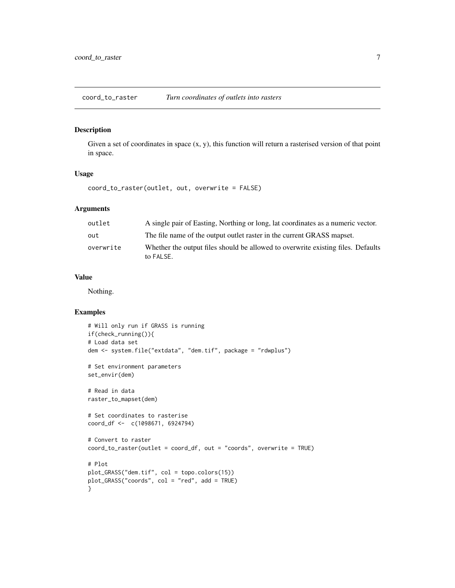<span id="page-6-0"></span>coord\_to\_raster *Turn coordinates of outlets into rasters*

# Description

Given a set of coordinates in space  $(x, y)$ , this function will return a rasterised version of that point in space.

# Usage

coord\_to\_raster(outlet, out, overwrite = FALSE)

# Arguments

| outlet    | A single pair of Easting, Northing or long, lat coordinates as a numeric vector.              |
|-----------|-----------------------------------------------------------------------------------------------|
| out       | The file name of the output outlet raster in the current GRASS mapset.                        |
| overwrite | Whether the output files should be allowed to overwrite existing files. Defaults<br>to FALSE. |

# Value

Nothing.

```
# Will only run if GRASS is running
if(check_running()){
# Load data set
dem <- system.file("extdata", "dem.tif", package = "rdwplus")
# Set environment parameters
set_envir(dem)
# Read in data
raster_to_mapset(dem)
# Set coordinates to rasterise
coord_df <- c(1098671, 6924794)
# Convert to raster
coord_to_raster(outlet = coord_df, out = "coords", overwrite = TRUE)
# Plot
plot_GRASS("dem.tif", col = topo.colors(15))
plot_GRASS("coords", col = "red", add = TRUE)
}
```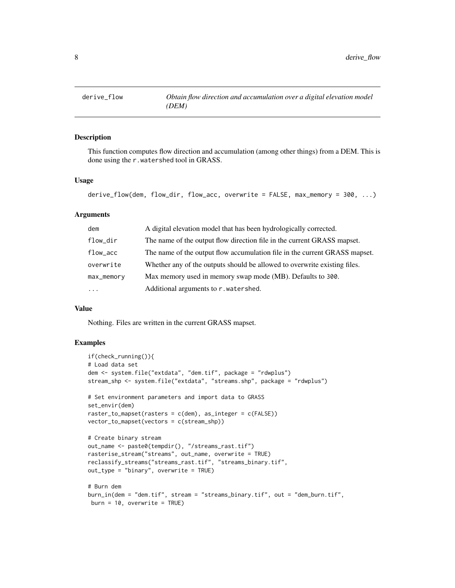<span id="page-7-0"></span>

This function computes flow direction and accumulation (among other things) from a DEM. This is done using the r.watershed tool in GRASS.

# Usage

```
derive_flow(dem, flow_dir, flow_acc, overwrite = FALSE, max_memory = 300, ...)
```
# Arguments

| dem        | A digital elevation model that has been hydrologically corrected.          |
|------------|----------------------------------------------------------------------------|
| flow_dir   | The name of the output flow direction file in the current GRASS mapset.    |
| flow_acc   | The name of the output flow accumulation file in the current GRASS mapset. |
| overwrite  | Whether any of the outputs should be allowed to overwrite existing files.  |
| max_memory | Max memory used in memory swap mode (MB). Defaults to 300.                 |
| $\cdots$   | Additional arguments to r. watershed.                                      |

# Value

Nothing. Files are written in the current GRASS mapset.

```
if(check_running()){
# Load data set
dem <- system.file("extdata", "dem.tif", package = "rdwplus")
stream_shp <- system.file("extdata", "streams.shp", package = "rdwplus")
# Set environment parameters and import data to GRASS
set_envir(dem)
raster_to_mapset(rasters = c(dem), as_integer = c(FALSE))
vector_to_mapset(vectors = c(stream_shp))
# Create binary stream
out_name <- paste0(tempdir(), "/streams_rast.tif")
rasterise_stream("streams", out_name, overwrite = TRUE)
reclassify_streams("streams_rast.tif", "streams_binary.tif",
out_type = "binary", overwrite = TRUE)
# Burn dem
burn_in(dem = "dem.tif", stream = "streams_binary.tif", out = "dem_burn.tif",
burn = 10, overwrite = TRUE)
```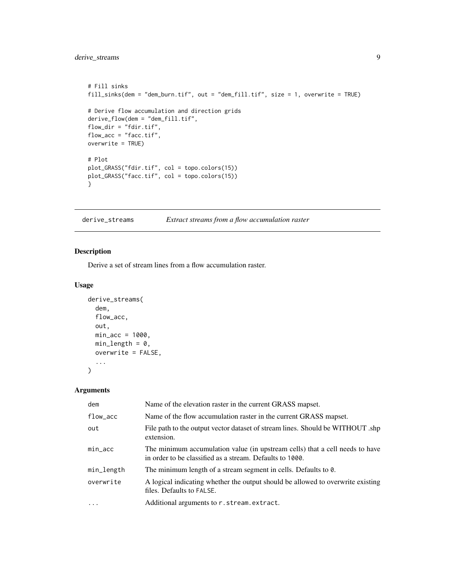# <span id="page-8-0"></span>derive\_streams 9

```
# Fill sinks
fill_sinks(dem = "dem_burn.tif", out = "dem_fill.tif", size = 1, overwrite = TRUE)
# Derive flow accumulation and direction grids
derive_flow(dem = "dem_fill.tif",
flow_dir = "fdir.tif",
flow_acc = "facc.tif",
overwrite = TRUE)
# Plot
plot_GRASS("fdir.tif", col = topo.colors(15))
plot_GRASS("facc.tif", col = topo.colors(15))
}
```
derive\_streams *Extract streams from a flow accumulation raster*

# Description

Derive a set of stream lines from a flow accumulation raster.

# Usage

```
derive_streams(
  dem,
  flow_acc,
  out,
  min\_acc = 1000,min\_length = 0,
  overwrite = FALSE,
  ...
\mathcal{L}
```
# Arguments

| dem        | Name of the elevation raster in the current GRASS mapset.                                                                                |
|------------|------------------------------------------------------------------------------------------------------------------------------------------|
| flow_acc   | Name of the flow accumulation raster in the current GRASS mapset.                                                                        |
| out        | File path to the output vector dataset of stream lines. Should be WITHOUT .shp<br>extension.                                             |
| $min\_acc$ | The minimum accumulation value (in upstream cells) that a cell needs to have<br>in order to be classified as a stream. Defaults to 1000. |
| min_length | The minimum length of a stream segment in cells. Defaults to 0.                                                                          |
| overwrite  | A logical indicating whether the output should be allowed to overwrite existing<br>files. Defaults to FALSE.                             |
| $\cdots$   | Additional arguments to r.stream.extract.                                                                                                |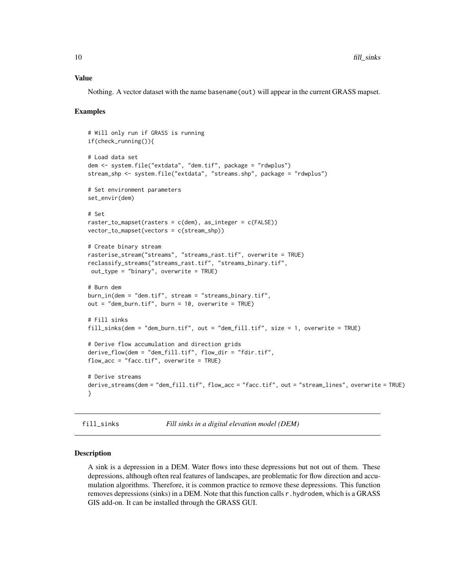#### <span id="page-9-0"></span>Value

Nothing. A vector dataset with the name basename(out) will appear in the current GRASS mapset.

#### Examples

```
# Will only run if GRASS is running
if(check_running()){
# Load data set
dem <- system.file("extdata", "dem.tif", package = "rdwplus")
stream_shp <- system.file("extdata", "streams.shp", package = "rdwplus")
# Set environment parameters
set_envir(dem)
# Set
raster_to_mapset(rasters = c(dem), as_integer = c(FALSE))
vector_to_mapset(vectors = c(stream_shp))
# Create binary stream
rasterise_stream("streams", "streams_rast.tif", overwrite = TRUE)
reclassify_streams("streams_rast.tif", "streams_binary.tif",
out_type = "binary", overwrite = TRUE)
# Burn dem
burn_in(dem = "dem.tif", stream = "streams_binary.tif",
out = "dem_burn.tif", burn = 10, overwrite = TRUE)
# Fill sinks
fill_sinks(dem = "dem_burn.tif", out = "dem_fill.tif", size = 1, overwrite = TRUE)
# Derive flow accumulation and direction grids
derive_flow(dem = "dem_fill.tif", flow_dir = "fdir.tif",
flow_acc = "facc.tif", overwrite = TRUE)
# Derive streams
derive_streams(dem = "dem_fill.tif", flow_acc = "facc.tif", out = "stream_lines", overwrite = TRUE)
}
```
<span id="page-9-1"></span>fill\_sinks *Fill sinks in a digital elevation model (DEM)*

#### Description

A sink is a depression in a DEM. Water flows into these depressions but not out of them. These depressions, although often real features of landscapes, are problematic for flow direction and accumulation algorithms. Therefore, it is common practice to remove these depressions. This function removes depressions (sinks) in a DEM. Note that this function calls r.hydrodem, which is a GRASS GIS add-on. It can be installed through the GRASS GUI.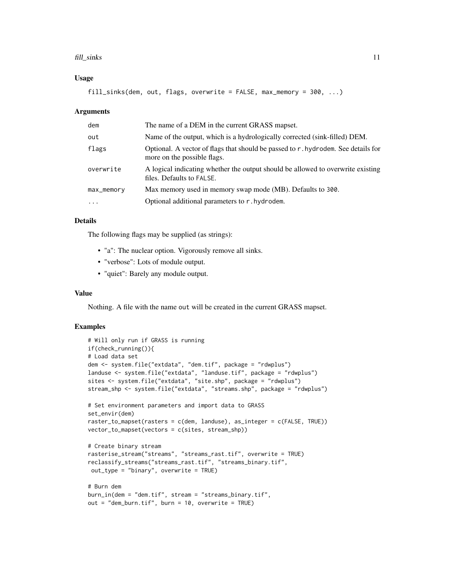#### fill\_sinks 11

# Usage

fill\_sinks(dem, out, flags, overwrite = FALSE, max\_memory = 300, ...)

# Arguments

| dem        | The name of a DEM in the current GRASS mapset.                                                                   |
|------------|------------------------------------------------------------------------------------------------------------------|
| out        | Name of the output, which is a hydrologically corrected (sink-filled) DEM.                                       |
| flags      | Optional. A vector of flags that should be passed to r. hydrodem. See details for<br>more on the possible flags. |
| overwrite  | A logical indicating whether the output should be allowed to overwrite existing<br>files. Defaults to FALSE.     |
| max_memory | Max memory used in memory swap mode (MB). Defaults to 300.                                                       |
| $\ddotsc$  | Optional additional parameters to r. hydrodem.                                                                   |

#### Details

The following flags may be supplied (as strings):

- "a": The nuclear option. Vigorously remove all sinks.
- "verbose": Lots of module output.
- "quiet": Barely any module output.

# Value

Nothing. A file with the name out will be created in the current GRASS mapset.

```
# Will only run if GRASS is running
if(check_running()){
# Load data set
dem <- system.file("extdata", "dem.tif", package = "rdwplus")
landuse <- system.file("extdata", "landuse.tif", package = "rdwplus")
sites <- system.file("extdata", "site.shp", package = "rdwplus")
stream_shp <- system.file("extdata", "streams.shp", package = "rdwplus")
# Set environment parameters and import data to GRASS
set_envir(dem)
raster_to_mapset(rasters = c(dem, landuse), as_integer = c(FALSE, TRUE))
vector_to_mapset(vectors = c(sites, stream_shp))
# Create binary stream
rasterise_stream("streams", "streams_rast.tif", overwrite = TRUE)
reclassify_streams("streams_rast.tif", "streams_binary.tif",
out_type = "binary", overwrite = TRUE)
# Burn dem
burn_in(dem = "dem.tif", stream = "streams_binary.tif",
out = "dem_burn.tif", burn = 10, overwrite = TRUE)
```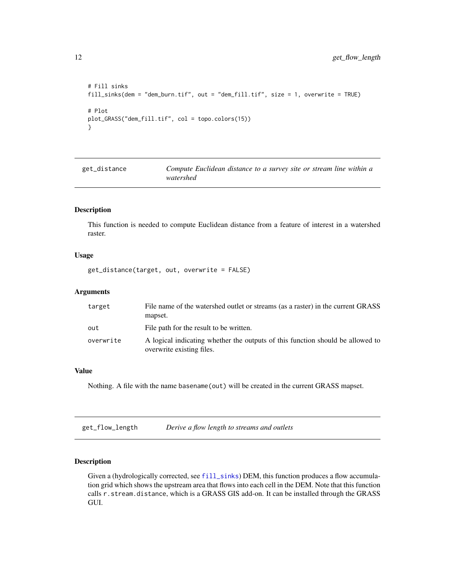```
# Fill sinks
fill_sinks(dem = "dem_burn.tif", out = "dem_fill.tif", size = 1, overwrite = TRUE)
# Plot
plot_GRASS("dem_fill.tif", col = topo.colors(15))
}
```

| get_distance | Compute Euclidean distance to a survey site or stream line within a |
|--------------|---------------------------------------------------------------------|
|              | watershed                                                           |

This function is needed to compute Euclidean distance from a feature of interest in a watershed raster.

# Usage

get\_distance(target, out, overwrite = FALSE)

#### Arguments

| target    | File name of the watershed outlet or streams (as a raster) in the current GRASS<br>mapset.                  |
|-----------|-------------------------------------------------------------------------------------------------------------|
| out       | File path for the result to be written.                                                                     |
| overwrite | A logical indicating whether the outputs of this function should be allowed to<br>overwrite existing files. |

# Value

Nothing. A file with the name basename(out) will be created in the current GRASS mapset.

| get_flow_length | Derive a flow length to streams and outlets |
|-----------------|---------------------------------------------|
|-----------------|---------------------------------------------|

# Description

Given a (hydrologically corrected, see [fill\\_sinks](#page-9-1)) DEM, this function produces a flow accumulation grid which shows the upstream area that flows into each cell in the DEM. Note that this function calls r.stream.distance, which is a GRASS GIS add-on. It can be installed through the GRASS GUI.

<span id="page-11-0"></span>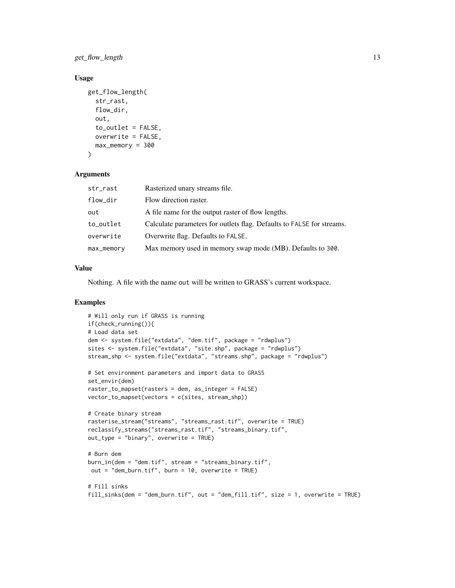get\_flow\_length 13

# Usage

```
get_flow_length(
  str_rast,
  flow_dir,
 out,
  to_outlet = FALSE,
 overwrite = FALSE,
 max_memory = 300
)
```
#### Arguments

| str_rast   | Rasterized unary streams file.                                        |
|------------|-----------------------------------------------------------------------|
| flow_dir   | Flow direction raster.                                                |
| out        | A file name for the output raster of flow lengths.                    |
| to_outlet  | Calculate parameters for outlets flag. Defaults to FALSE for streams. |
| overwrite  | Overwrite flag. Defaults to FALSE.                                    |
| max_memory | Max memory used in memory swap mode (MB). Defaults to 300.            |

# Value

Nothing. A file with the name out will be written to GRASS's current workspace.

```
# Will only run if GRASS is running
if(check_running()){
# Load data set
dem <- system.file("extdata", "dem.tif", package = "rdwplus")
sites <- system.file("extdata", "site.shp", package = "rdwplus")
stream_shp <- system.file("extdata", "streams.shp", package = "rdwplus")
# Set environment parameters and import data to GRASS
set_envir(dem)
raster_to_mapset(rasters = dem, as_integer = FALSE)
vector_to_mapset(vectors = c(sites, stream_shp))
# Create binary stream
rasterise_stream("streams", "streams_rast.tif", overwrite = TRUE)
reclassify_streams("streams_rast.tif", "streams_binary.tif",
out_type = "binary", overwrite = TRUE)
# Burn dem
burn_in(dem = "dem.tif", stream = "streams_binary.tif",
out = "dem_burn.tif", burn = 10, overwrite = TRUE)
# Fill sinks
fill_sinks(dem = "dem_burn.tif", out = "dem_fill.tif", size = 1, overwrite = TRUE)
```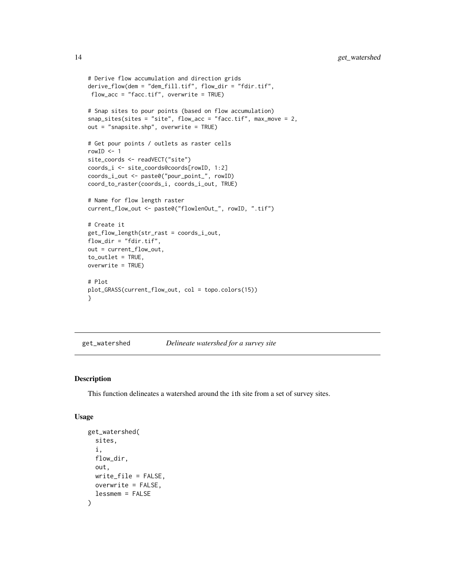```
# Derive flow accumulation and direction grids
derive_flow(dem = "dem_fill.tif", flow_dir = "fdir.tif",
flow_acc = "facc.tif", overwrite = TRUE)
# Snap sites to pour points (based on flow accumulation)
snap_sites(sites = "site", flow_acc = "facc.tif", max_move = 2,
out = "snapsite.shp", overwrite = TRUE)
# Get pour points / outlets as raster cells
rowID < -1site_coords <- readVECT("site")
coords_i <- site_coords@coords[rowID, 1:2]
coords_i_out <- paste0("pour_point_", rowID)
coord_to_raster(coords_i, coords_i_out, TRUE)
# Name for flow length raster
current_flow_out <- paste0("flowlenOut_", rowID, ".tif")
# Create it
get_flow_length(str_rast = coords_i_out,
flow_dir = "fdir.tif",
out = current_flow_out,
to_outlet = TRUE,
overwrite = TRUE)
# Plot
plot_GRASS(current_flow_out, col = topo.colors(15))
}
```
#### get\_watershed *Delineate watershed for a survey site*

# Description

This function delineates a watershed around the ith site from a set of survey sites.

#### Usage

```
get_watershed(
  sites,
  i,
 flow_dir,
 out,
 write_file = FALSE,
 overwrite = FALSE,
  lessmem = FALSE
)
```
<span id="page-13-0"></span>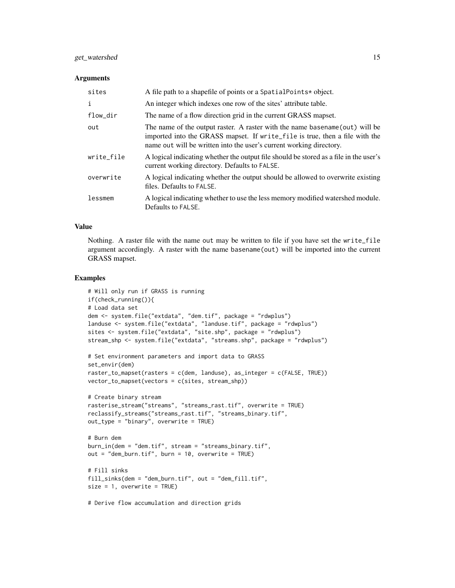# get\_watershed 15

#### **Arguments**

| sites      | A file path to a shapefile of points or a Spatial Points* object.                                                                                                                                                                  |
|------------|------------------------------------------------------------------------------------------------------------------------------------------------------------------------------------------------------------------------------------|
| i          | An integer which indexes one row of the sites' attribute table.                                                                                                                                                                    |
| flow_dir   | The name of a flow direction grid in the current GRASS mapset.                                                                                                                                                                     |
| out        | The name of the output raster. A raster with the name basename (out) will be<br>imported into the GRASS mapset. If write file is true, then a file with the<br>name out will be written into the user's current working directory. |
| write_file | A logical indicating whether the output file should be stored as a file in the user's<br>current working directory. Defaults to FALSE.                                                                                             |
| overwrite  | A logical indicating whether the output should be allowed to overwrite existing<br>files. Defaults to FALSE.                                                                                                                       |
| lessmem    | A logical indicating whether to use the less memory modified watershed module.<br>Defaults to FALSE.                                                                                                                               |

# Value

Nothing. A raster file with the name out may be written to file if you have set the write\_file argument accordingly. A raster with the name basename(out) will be imported into the current GRASS mapset.

```
# Will only run if GRASS is running
if(check_running()){
# Load data set
dem <- system.file("extdata", "dem.tif", package = "rdwplus")
landuse <- system.file("extdata", "landuse.tif", package = "rdwplus")
sites <- system.file("extdata", "site.shp", package = "rdwplus")
stream_shp <- system.file("extdata", "streams.shp", package = "rdwplus")
# Set environment parameters and import data to GRASS
set_envir(dem)
raster_to_mapset(rasters = c(dem, landuse), as_integer = c(FALSE, TRUE))
vector_to_mapset(vectors = c(sites, stream_shp))
# Create binary stream
rasterise_stream("streams", "streams_rast.tif", overwrite = TRUE)
reclassify_streams("streams_rast.tif", "streams_binary.tif",
out_type = "binary", overwrite = TRUE)
# Burn dem
burn_in(dem = "dem.tif", stream = "streams_binary.tif",
out = "dem_burn.tif", burn = 10, overwrite = TRUE)
# Fill sinks
fill_sinks(dem = "dem_burn.tif", out = "dem_fill.tif",
size = 1, overwrite = TRUE)
```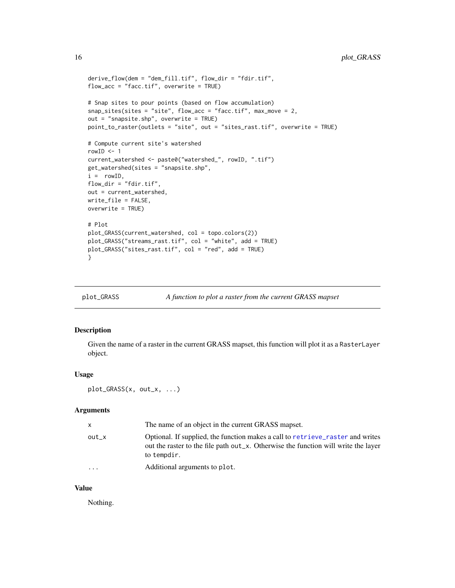```
derive_flow(dem = "dem_fill.tif", flow_dir = "fdir.tif",
flow_acc = "facc.tif", overwrite = TRUE)
# Snap sites to pour points (based on flow accumulation)
snap_sites(sites = "site", flow_acc = "facc.tif", max_move = 2,
out = "snapsite.shp", overwrite = TRUE)
point_to_raster(outlets = "site", out = "sites_rast.tif", overwrite = TRUE)
# Compute current site's watershed
rowID < -1current_watershed <- paste0("watershed_", rowID, ".tif")
get_watershed(sites = "snapsite.shp",
i = rowID,
flow_dir = "fdir.tf",out = current_watershed,
write_file = FALSE,
overwrite = TRUE)
# Plot
plot_GRASS(current_watershed, col = topo.colors(2))
plot_GRASS("streams_rast.tif", col = "white", add = TRUE)
plot_GRASS("sites_rast.tif", col = "red", add = TRUE)
}
```

| plot_GRASS |  | A function to plot a raster from the current GRASS mapset |
|------------|--|-----------------------------------------------------------|
|            |  |                                                           |

Given the name of a raster in the current GRASS mapset, this function will plot it as a RasterLayer object.

#### Usage

```
plot_GRASS(x, out_x, ...)
```
# Arguments

| X       | The name of an object in the current GRASS mapset.                                                                                                                                  |
|---------|-------------------------------------------------------------------------------------------------------------------------------------------------------------------------------------|
| $out_x$ | Optional. If supplied, the function makes a call to retrieve_raster and writes<br>out the raster to the file path out_x. Otherwise the function will write the layer<br>to tempdir. |
| .       | Additional arguments to plot.                                                                                                                                                       |

#### Value

Nothing.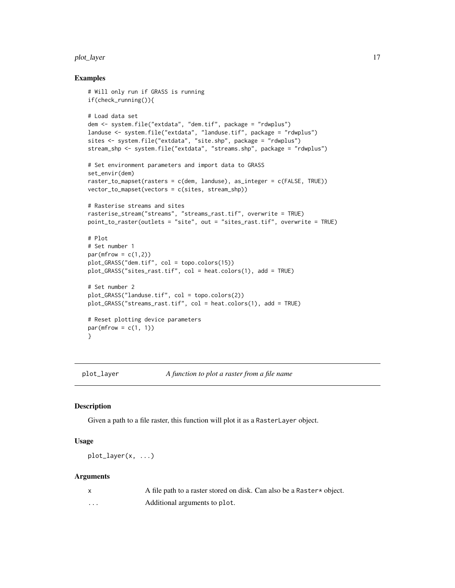#### <span id="page-16-0"></span>plot\_layer 17

# Examples

```
# Will only run if GRASS is running
if(check_running()){
# Load data set
dem <- system.file("extdata", "dem.tif", package = "rdwplus")
landuse <- system.file("extdata", "landuse.tif", package = "rdwplus")
sites <- system.file("extdata", "site.shp", package = "rdwplus")
stream_shp <- system.file("extdata", "streams.shp", package = "rdwplus")
# Set environment parameters and import data to GRASS
set_envir(dem)
raster_to_mapset(rasters = c(dem, landuse), as_integer = c(FALSE, TRUE))
vector_to_mapset(vectors = c(sites, stream_shp))
# Rasterise streams and sites
rasterise_stream("streams", "streams_rast.tif", overwrite = TRUE)
point_to_raster(outlets = "site", out = "sites_rast.tif", overwrite = TRUE)
# Plot
# Set number 1
par(mfrow = c(1,2))plot_GRASS("dem.tif", col = topo.colors(15))
plot_GRASS("sites_rast.tif", col = heat.colors(1), add = TRUE)
# Set number 2
plot_GRASS("landuse.tif", col = topo.colors(2))
plot_GRASS("streams_rast.tif", col = heat.colors(1), add = TRUE)
# Reset plotting device parameters
par(mfrow = c(1, 1))}
```
plot\_layer *A function to plot a raster from a file name*

#### Description

Given a path to a file raster, this function will plot it as a RasterLayer object.

# Usage

plot\_layer(x, ...)

#### Arguments

|          | A file path to a raster stored on disk. Can also be a Raster * object. |
|----------|------------------------------------------------------------------------|
| $\cdots$ | Additional arguments to plot.                                          |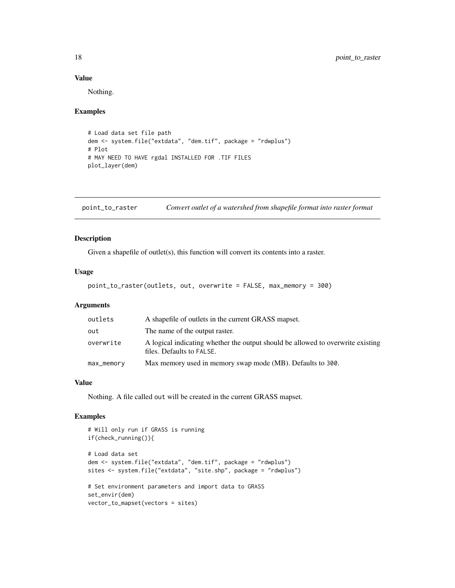# Value

Nothing.

#### Examples

```
# Load data set file path
dem <- system.file("extdata", "dem.tif", package = "rdwplus")
# Plot
# MAY NEED TO HAVE rgdal INSTALLED FOR .TIF FILES
plot_layer(dem)
```
point\_to\_raster *Convert outlet of a watershed from shapefile format into raster format*

# Description

Given a shapefile of outlet(s), this function will convert its contents into a raster.

# Usage

```
point_to_raster(outlets, out, overwrite = FALSE, max_memory = 300)
```
# Arguments

| outlets    | A shapefile of outlets in the current GRASS mapset.                                                          |
|------------|--------------------------------------------------------------------------------------------------------------|
| out        | The name of the output raster.                                                                               |
| overwrite  | A logical indicating whether the output should be allowed to overwrite existing<br>files. Defaults to FALSE. |
| max_memory | Max memory used in memory swap mode (MB). Defaults to 300.                                                   |

# Value

Nothing. A file called out will be created in the current GRASS mapset.

```
# Will only run if GRASS is running
if(check_running()){
# Load data set
dem <- system.file("extdata", "dem.tif", package = "rdwplus")
sites <- system.file("extdata", "site.shp", package = "rdwplus")
# Set environment parameters and import data to GRASS
set_envir(dem)
vector_to_mapset(vectors = sites)
```
<span id="page-17-0"></span>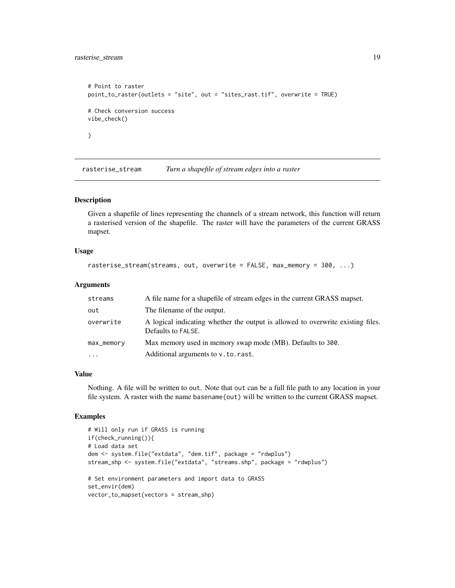<span id="page-18-0"></span>rasterise\_stream 19

```
# Point to raster
point_to_raster(outlets = "site", out = "sites_rast.tif", overwrite = TRUE)
# Check conversion success
vibe_check()
}
```
rasterise\_stream *Turn a shapefile of stream edges into a raster*

# **Description**

Given a shapefile of lines representing the channels of a stream network, this function will return a rasterised version of the shapefile. The raster will have the parameters of the current GRASS mapset.

#### Usage

```
rasterise_stream(streams, out, overwrite = FALSE, max_memory = 300, ...)
```
# Arguments

| streams    | A file name for a shapefile of stream edges in the current GRASS mapset.                              |
|------------|-------------------------------------------------------------------------------------------------------|
| out        | The filename of the output.                                                                           |
| overwrite  | A logical indicating whether the output is allowed to overwrite existing files.<br>Defaults to FALSE. |
| max_memory | Max memory used in memory swap mode (MB). Defaults to 300.                                            |
| $\ddotsc$  | Additional arguments to v. to. rast.                                                                  |

#### Value

Nothing. A file will be written to out. Note that out can be a full file path to any location in your file system. A raster with the name basename(out) will be written to the current GRASS mapset.

```
# Will only run if GRASS is running
if(check_running()){
# Load data set
dem <- system.file("extdata", "dem.tif", package = "rdwplus")
stream_shp <- system.file("extdata", "streams.shp", package = "rdwplus")
# Set environment parameters and import data to GRASS
set_envir(dem)
vector_to_mapset(vectors = stream_shp)
```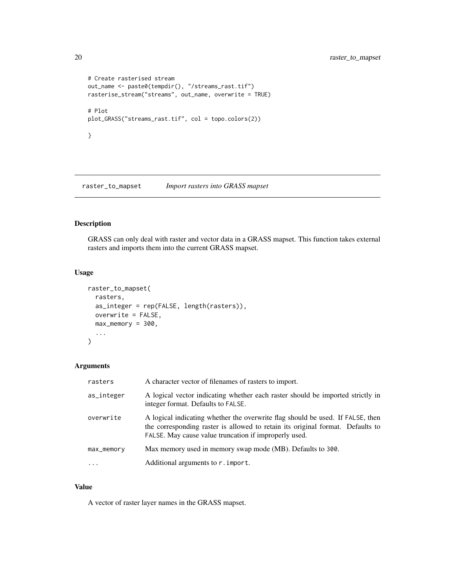```
# Create rasterised stream
out_name <- paste0(tempdir(), "/streams_rast.tif")
rasterise_stream("streams", out_name, overwrite = TRUE)
# Plot
plot_GRASS("streams_rast.tif", col = topo.colors(2))
}
```
raster\_to\_mapset *Import rasters into GRASS mapset*

# Description

GRASS can only deal with raster and vector data in a GRASS mapset. This function takes external rasters and imports them into the current GRASS mapset.

# Usage

```
raster_to_mapset(
  rasters,
  as_integer = rep(FALSE, length(rasters)),
  overwrite = FALSE,
  max\_memory = 300,...
\mathcal{L}
```
# Arguments

| rasters    | A character vector of filenames of rasters to import.                                                                                                                                                                     |
|------------|---------------------------------------------------------------------------------------------------------------------------------------------------------------------------------------------------------------------------|
| as_integer | A logical vector indicating whether each raster should be imported strictly in<br>integer format. Defaults to FALSE.                                                                                                      |
| overwrite  | A logical indicating whether the overwrite flag should be used. If FALSE, then<br>the corresponding raster is allowed to retain its original format. Defaults to<br>FALSE. May cause value truncation if improperly used. |
| max_memory | Max memory used in memory swap mode (MB). Defaults to 300.                                                                                                                                                                |
| $\cdot$    | Additional arguments to r. import.                                                                                                                                                                                        |

# Value

A vector of raster layer names in the GRASS mapset.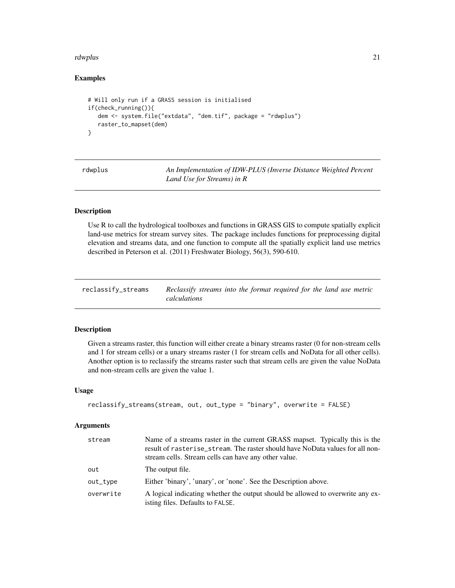#### <span id="page-20-0"></span>rdwplus 21

# Examples

```
# Will only run if a GRASS session is initialised
if(check_running()){
  dem <- system.file("extdata", "dem.tif", package = "rdwplus")
  raster_to_mapset(dem)
}
```
rdwplus *An Implementation of IDW-PLUS (Inverse Distance Weighted Percent Land Use for Streams) in R*

# Description

Use R to call the hydrological toolboxes and functions in GRASS GIS to compute spatially explicit land-use metrics for stream survey sites. The package includes functions for preprocessing digital elevation and streams data, and one function to compute all the spatially explicit land use metrics described in Peterson et al. (2011) Freshwater Biology, 56(3), 590-610.

| reclassify_streams | Reclassify streams into the format required for the land use metric |  |
|--------------------|---------------------------------------------------------------------|--|
|                    | calculations                                                        |  |

# Description

Given a streams raster, this function will either create a binary streams raster (0 for non-stream cells and 1 for stream cells) or a unary streams raster (1 for stream cells and NoData for all other cells). Another option is to reclassify the streams raster such that stream cells are given the value NoData and non-stream cells are given the value 1.

#### Usage

```
reclassify_streams(stream, out, out_type = "binary", overwrite = FALSE)
```
#### Arguments

| stream    | Name of a streams raster in the current GRASS mapset. Typically this is the<br>result of rasterise_stream. The raster should have NoData values for all non-<br>stream cells. Stream cells can have any other value. |
|-----------|----------------------------------------------------------------------------------------------------------------------------------------------------------------------------------------------------------------------|
| out       | The output file.                                                                                                                                                                                                     |
| out_type  | Either 'binary', 'unary', or 'none'. See the Description above.                                                                                                                                                      |
| overwrite | A logical indicating whether the output should be allowed to overwrite any ex-<br>isting files. Defaults to FALSE.                                                                                                   |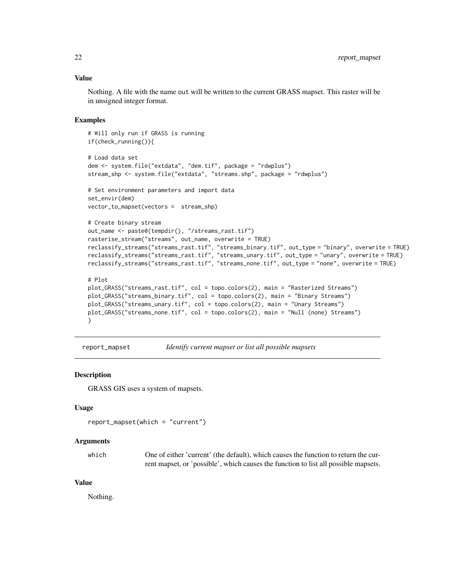# <span id="page-21-0"></span>Value

Nothing. A file with the name out will be written to the current GRASS mapset. This raster will be in unsigned integer format.

#### Examples

```
# Will only run if GRASS is running
if(check_running()){
# Load data set
dem <- system.file("extdata", "dem.tif", package = "rdwplus")
stream_shp <- system.file("extdata", "streams.shp", package = "rdwplus")
# Set environment parameters and import data
set_envir(dem)
vector_to_mapset(vectors = stream_shp)
# Create binary stream
out_name <- paste0(tempdir(), "/streams_rast.tif")
rasterise_stream("streams", out_name, overwrite = TRUE)
reclassify_streams("streams_rast.tif", "streams_binary.tif", out_type = "binary", overwrite = TRUE)
reclassify_streams("streams_rast.tif", "streams_unary.tif", out_type = "unary", overwrite = TRUE)
reclassify_streams("streams_rast.tif", "streams_none.tif", out_type = "none", overwrite = TRUE)
# Plot
plot_GRASS("streams_rast.tif", col = topo.colors(2), main = "Rasterized Streams")
plot_GRASS("streams_binary.tif", col = topo.colors(2), main = "Binary Streams")
plot_GRASS("streams_unary.tif", col = topo.colors(2), main = "Unary Streams")
plot_GRASS("streams_none.tif", col = topo.colors(2), main = "Null (none) Streams")
}
```

```
report_mapset Identify current mapset or list all possible mapsets
```
#### Description

GRASS GIS uses a system of mapsets.

# Usage

```
report_mapset(which = "current")
```
#### Arguments

| which | One of either 'current' (the default), which causes the function to return the cur- |
|-------|-------------------------------------------------------------------------------------|
|       | rent mapset, or 'possible', which causes the function to list all possible mapsets. |

# Value

Nothing.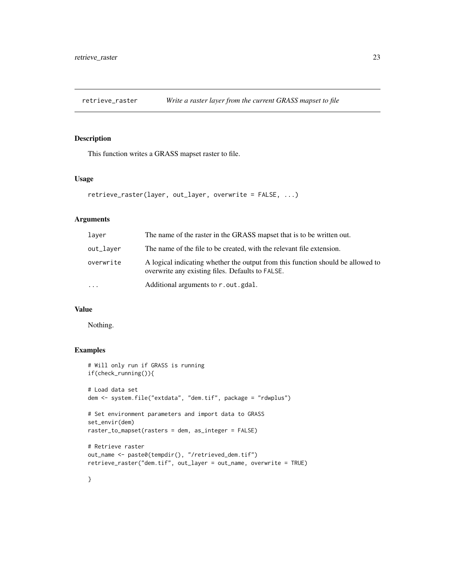<span id="page-22-1"></span><span id="page-22-0"></span>

This function writes a GRASS mapset raster to file.

#### Usage

```
retrieve_raster(layer, out_layer, overwrite = FALSE, ...)
```
#### Arguments

| laver     | The name of the raster in the GRASS mapset that is to be written out.                                                               |
|-----------|-------------------------------------------------------------------------------------------------------------------------------------|
| out_layer | The name of the file to be created, with the relevant file extension.                                                               |
| overwrite | A logical indicating whether the output from this function should be allowed to<br>overwrite any existing files. Defaults to FALSE. |
| $\cdots$  | Additional arguments to r.out.gdal.                                                                                                 |

# Value

Nothing.

# Examples

```
# Will only run if GRASS is running
if(check_running()){
# Load data set
dem <- system.file("extdata", "dem.tif", package = "rdwplus")
# Set environment parameters and import data to GRASS
set_envir(dem)
raster_to_mapset(rasters = dem, as_integer = FALSE)
# Retrieve raster
out_name <- paste0(tempdir(), "/retrieved_dem.tif")
retrieve_raster("dem.tif", out_layer = out_name, overwrite = TRUE)
```
}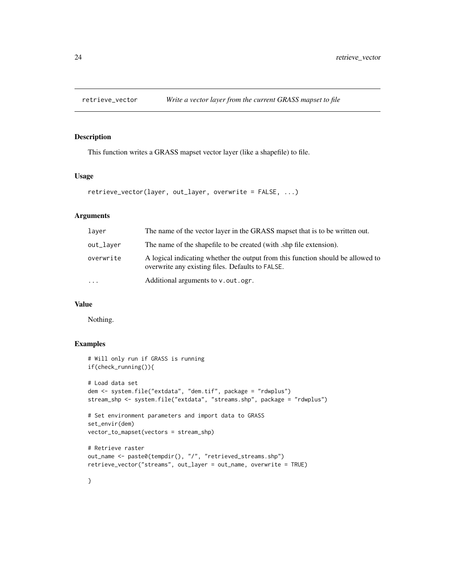<span id="page-23-0"></span>

This function writes a GRASS mapset vector layer (like a shapefile) to file.

# Usage

```
retrieve_vector(layer, out_layer, overwrite = FALSE, ...)
```
# Arguments

| laver     | The name of the vector layer in the GRASS mapset that is to be written out.                                                         |
|-----------|-------------------------------------------------------------------------------------------------------------------------------------|
| out_layer | The name of the shapefile to be created (with .shp file extension).                                                                 |
| overwrite | A logical indicating whether the output from this function should be allowed to<br>overwrite any existing files. Defaults to FALSE. |
| $\cdots$  | Additional arguments to v.out.ogr.                                                                                                  |
|           |                                                                                                                                     |

# Value

Nothing.

# Examples

}

```
# Will only run if GRASS is running
if(check_running()){
# Load data set
dem <- system.file("extdata", "dem.tif", package = "rdwplus")
stream_shp <- system.file("extdata", "streams.shp", package = "rdwplus")
# Set environment parameters and import data to GRASS
set_envir(dem)
vector_to_mapset(vectors = stream_shp)
# Retrieve raster
out_name <- paste0(tempdir(), "/", "retrieved_streams.shp")
retrieve_vector("streams", out_layer = out_name, overwrite = TRUE)
```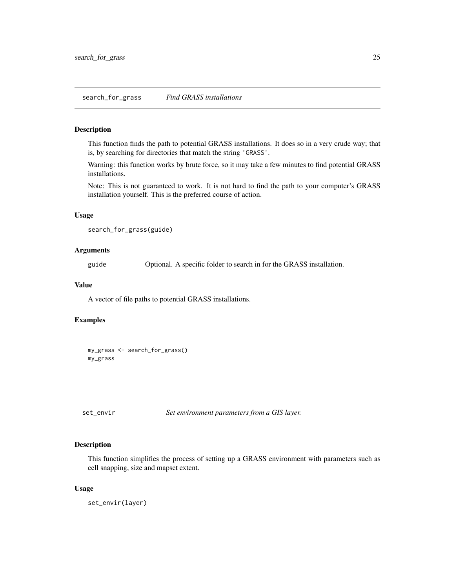<span id="page-24-0"></span>This function finds the path to potential GRASS installations. It does so in a very crude way; that is, by searching for directories that match the string 'GRASS'.

Warning: this function works by brute force, so it may take a few minutes to find potential GRASS installations.

Note: This is not guaranteed to work. It is not hard to find the path to your computer's GRASS installation yourself. This is the preferred course of action.

# Usage

```
search_for_grass(guide)
```
# Arguments

guide Optional. A specific folder to search in for the GRASS installation.

# Value

A vector of file paths to potential GRASS installations.

# Examples

my\_grass <- search\_for\_grass() my\_grass

set\_envir *Set environment parameters from a GIS layer.*

# Description

This function simplifies the process of setting up a GRASS environment with parameters such as cell snapping, size and mapset extent.

# Usage

set\_envir(layer)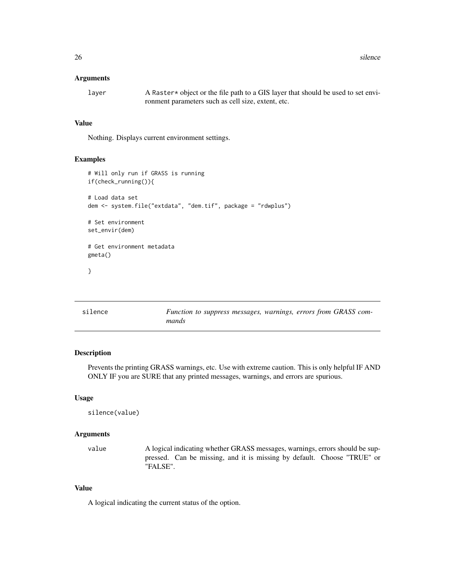<span id="page-25-0"></span>26 silence and the state of the state of the state of the state of the state of the state of the state of the state of the state of the state of the state of the state of the state of the state of the state of the state of

#### Arguments

layer A Raster\* object or the file path to a GIS layer that should be used to set environment parameters such as cell size, extent, etc.

# Value

Nothing. Displays current environment settings.

# Examples

```
# Will only run if GRASS is running
if(check_running()){
# Load data set
dem <- system.file("extdata", "dem.tif", package = "rdwplus")
# Set environment
set_envir(dem)
# Get environment metadata
gmeta()
}
```

| silence | Function to suppress messages, warnings, errors from GRASS com- |  |  |
|---------|-----------------------------------------------------------------|--|--|
|         | mands                                                           |  |  |

# Description

Prevents the printing GRASS warnings, etc. Use with extreme caution. This is only helpful IF AND ONLY IF you are SURE that any printed messages, warnings, and errors are spurious.

#### Usage

silence(value)

#### Arguments

value A logical indicating whether GRASS messages, warnings, errors should be suppressed. Can be missing, and it is missing by default. Choose "TRUE" or "FALSE".

#### Value

A logical indicating the current status of the option.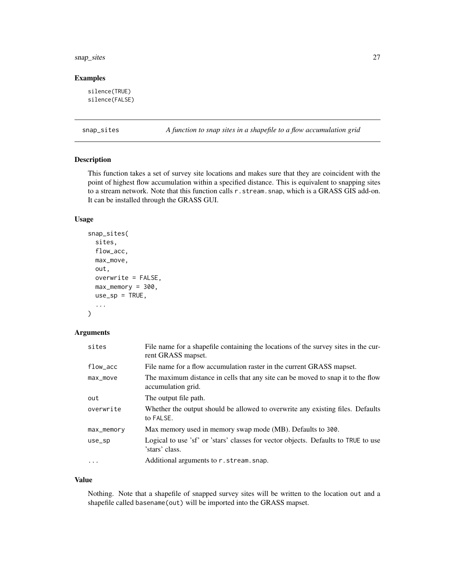#### <span id="page-26-0"></span>snap\_sites 27

# Examples

```
silence(TRUE)
silence(FALSE)
```
snap\_sites *A function to snap sites in a shapefile to a flow accumulation grid*

# Description

This function takes a set of survey site locations and makes sure that they are coincident with the point of highest flow accumulation within a specified distance. This is equivalent to snapping sites to a stream network. Note that this function calls r.stream.snap, which is a GRASS GIS add-on. It can be installed through the GRASS GUI.

### Usage

```
snap_sites(
  sites,
 flow_acc,
 max_move,
 out,
 overwrite = FALSE,
 max\_memory = 300,use_sp = TRUE,...
)
```
#### Arguments

| sites      | File name for a shapefile containing the locations of the survey sites in the cur-<br>rent GRASS mapset. |
|------------|----------------------------------------------------------------------------------------------------------|
| $flow_acc$ | File name for a flow accumulation raster in the current GRASS mapset.                                    |
| max_move   | The maximum distance in cells that any site can be moved to snap it to the flow<br>accumulation grid.    |
| out        | The output file path.                                                                                    |
| overwrite  | Whether the output should be allowed to overwrite any existing files. Defaults<br>to FALSE.              |
| max_memory | Max memory used in memory swap mode (MB). Defaults to 300.                                               |
| $use_sp$   | Logical to use 'sf' or 'stars' classes for vector objects. Defaults to TRUE to use<br>'stars' class.     |
| $\ddotsc$  | Additional arguments to r.stream.snap.                                                                   |

#### Value

Nothing. Note that a shapefile of snapped survey sites will be written to the location out and a shapefile called basename(out) will be imported into the GRASS mapset.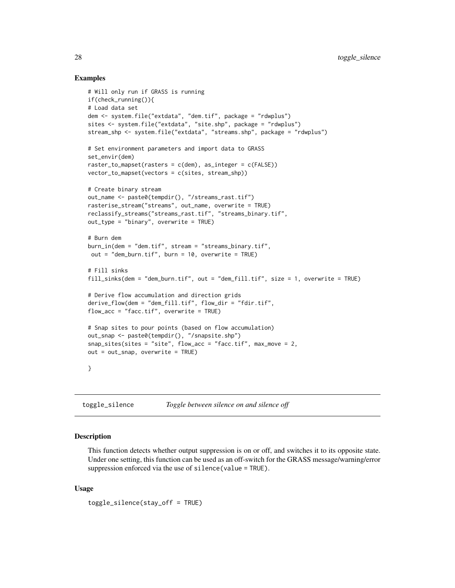# Examples

```
# Will only run if GRASS is running
if(check_running()){
# Load data set
dem <- system.file("extdata", "dem.tif", package = "rdwplus")
sites <- system.file("extdata", "site.shp", package = "rdwplus")
stream_shp <- system.file("extdata", "streams.shp", package = "rdwplus")
# Set environment parameters and import data to GRASS
set_envir(dem)
raster_to_mapset(rasters = c(dem), as_integer = c(FALSE))
vector_to_mapset(vectors = c(sites, stream_shp))
# Create binary stream
out_name <- paste0(tempdir(), "/streams_rast.tif")
rasterise_stream("streams", out_name, overwrite = TRUE)
reclassify_streams("streams_rast.tif", "streams_binary.tif",
out_type = "binary", overwrite = TRUE)
# Burn dem
burn_in(dem = "dem.tif", stream = "streams_binary.tif",
 out = "dem_burn.tif", burn = 10, overwrite = TRUE)
# Fill sinks
fill_sinks(dem = "dem_burn.tif", out = "dem_fill.tif", size = 1, overwrite = TRUE)
# Derive flow accumulation and direction grids
derive_flow(dem = "dem_fill.tif", flow_dir = "fdir.tif",
flow_acc = "face.tif", overwrite = TRUE)# Snap sites to pour points (based on flow accumulation)
out_snap <- paste0(tempdir(), "/snapsite.shp")
snap\_sites(sites = "site", flow_acc = "face.tif", max_move = 2,out = out_snap, overwrite = TRUE)
}
```

| toggle_silence | Toggle between silence on and silence off |  |  |
|----------------|-------------------------------------------|--|--|
|                |                                           |  |  |

# Description

This function detects whether output suppression is on or off, and switches it to its opposite state. Under one setting, this function can be used as an off-switch for the GRASS message/warning/error suppression enforced via the use of silence(value = TRUE).

#### Usage

toggle\_silence(stay\_off = TRUE)

<span id="page-27-0"></span>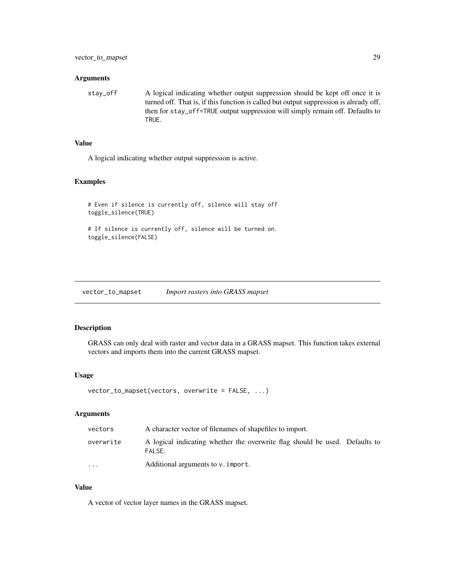#### <span id="page-28-0"></span>**Arguments**

stay\_off A logical indicating whether output suppression should be kept off once it is turned off. That is, if this function is called but output suppression is already off, then for stay\_off=TRUE output suppression will simply remain off. Defaults to TRUE.

# Value

A logical indicating whether output suppression is active.

#### Examples

```
# Even if silence is currently off, silence will stay off
toggle_silence(TRUE)
```
# If silence is currently off, silence will be turned on. toggle\_silence(FALSE)

vector\_to\_mapset *Import rasters into GRASS mapset*

# Description

GRASS can only deal with raster and vector data in a GRASS mapset. This function takes external vectors and imports them into the current GRASS mapset.

# Usage

```
vector_to_mapset(vectors, overwrite = FALSE, ...)
```
#### Arguments

| vectors                 | A character vector of filenames of shapefiles to import.                              |
|-------------------------|---------------------------------------------------------------------------------------|
| overwrite               | A logical indicating whether the overwrite flag should be used. Defaults to<br>FALSE. |
| $\cdot$ $\cdot$ $\cdot$ | Additional arguments to v. import.                                                    |

#### Value

A vector of vector layer names in the GRASS mapset.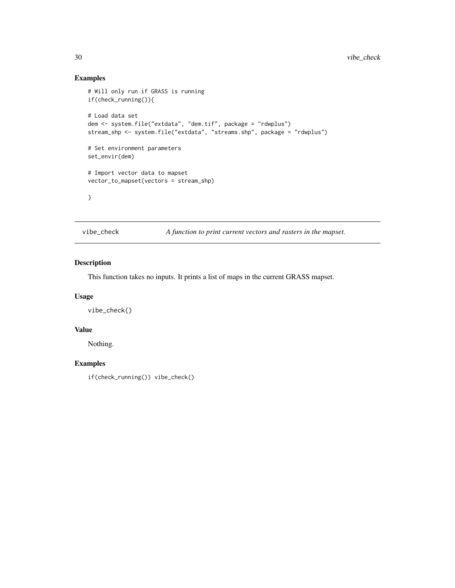# Examples

```
# Will only run if GRASS is running
if(check_running()){
# Load data set
dem <- system.file("extdata", "dem.tif", package = "rdwplus")
stream_shp <- system.file("extdata", "streams.shp", package = "rdwplus")
# Set environment parameters
set_envir(dem)
# Import vector data to mapset
vector_to_mapset(vectors = stream_shp)
}
```
vibe\_check *A function to print current vectors and rasters in the mapset.*

# Description

This function takes no inputs. It prints a list of maps in the current GRASS mapset.

# Usage

vibe\_check()

# Value

Nothing.

# Examples

if(check\_running()) vibe\_check()

<span id="page-29-0"></span>